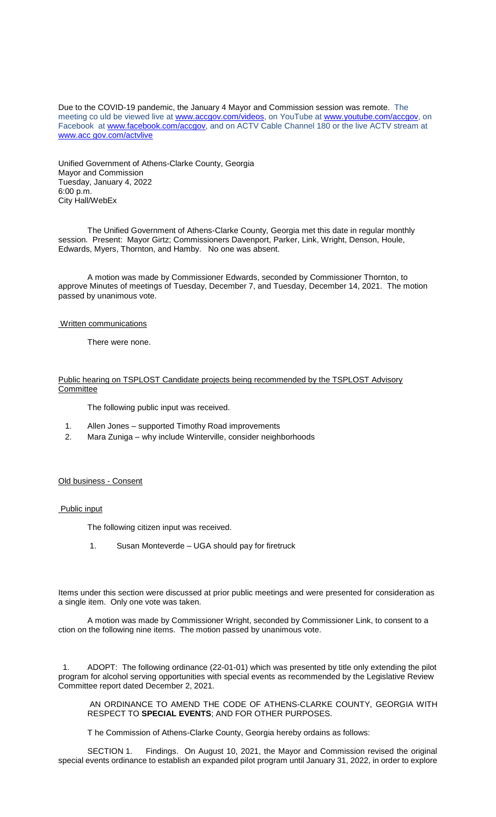Due to the COVID-19 pandemic, the January 4 Mayor and Commission session was remote. The meeting co uld be viewed live at [www.accgov.com/videos,](http://www.accgov.com/videos) on YouTube at [www.youtube.com/accgov,](http://www.youtube.com/accgov) on Facebook at [www.facebook.com/accgov,](http://www.facebook.com/accgov) and on ACTV Cable Channel 180 or the live ACTV stream at www.acc gov.com/actvlive

Unified Government of Athens-Clarke County, Georgia Mayor and Commission Tuesday, January 4, 2022 6:00 p.m. City Hall/WebEx

The Unified Government of Athens-Clarke County, Georgia met this date in regular monthly session. Present: Mayor Girtz; Commissioners Davenport, Parker, Link, Wright, Denson, Houle, Edwards, Myers, Thornton, and Hamby. No one was absent.

A motion was made by Commissioner Edwards, seconded by Commissioner Thornton, to approve Minutes of meetings of Tuesday, December 7, and Tuesday, December 14, 2021. The motion passed by unanimous vote.

#### Written communications

There were none.

### Public hearing on TSPLOST Candidate projects being recommended by the TSPLOST Advisory **Committee**

The following public input was received.

- 1. Allen Jones supported Timothy Road improvements
- 2. Mara Zuniga why include Winterville, consider neighborhoods

#### Old business - Consent

Public input

The following citizen input was received.

1. Susan Monteverde – UGA should pay for firetruck

Items under this section were discussed at prior public meetings and were presented for consideration as a single item. Only one vote was taken.

A motion was made by Commissioner Wright, seconded by Commissioner Link, to consent to a ction on the following nine items. The motion passed by unanimous vote.

1. ADOPT: The following ordinance (22-01-01) which was presented by title only extending the pilot program for alcohol serving opportunities with special events as recommended by the Legislative Review Committee report dated December 2, 2021.

AN ORDINANCE TO AMEND THE CODE OF ATHENS-CLARKE COUNTY, GEORGIA WITH RESPECT TO **SPECIAL EVENTS**; AND FOR OTHER PURPOSES.

T he Commission of Athens-Clarke County, Georgia hereby ordains as follows:

SECTION 1. Findings. On August 10, 2021, the Mayor and Commission revised the original special events ordinance to establish an expanded pilot program until January 31, 2022, in order to explore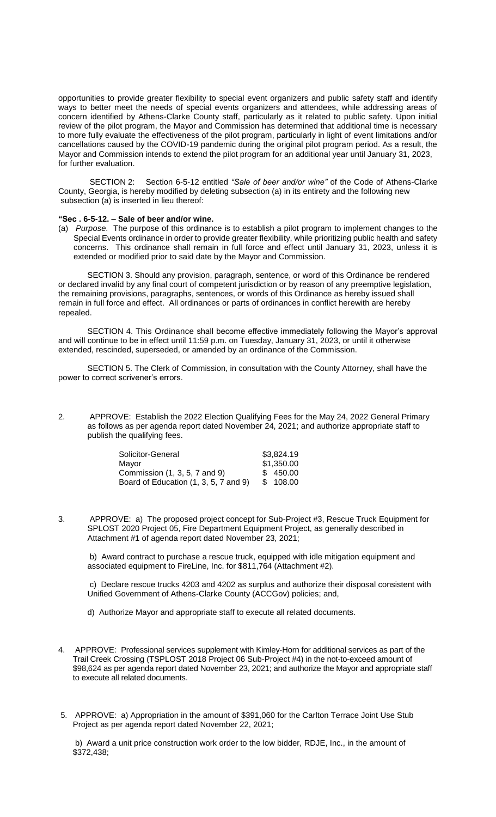opportunities to provide greater flexibility to special event organizers and public safety staff and identify ways to better meet the needs of special events organizers and attendees, while addressing areas of concern identified by Athens-Clarke County staff, particularly as it related to public safety. Upon initial review of the pilot program, the Mayor and Commission has determined that additional time is necessary to more fully evaluate the effectiveness of the pilot program, particularly in light of event limitations and/or cancellations caused by the COVID-19 pandemic during the original pilot program period. As a result, the Mayor and Commission intends to extend the pilot program for an additional year until January 31, 2023, for further evaluation.

SECTION 2: Section 6-5-12 entitled *"Sale of beer and/or wine"* of the Code of Athens-Clarke County, Georgia, is hereby modified by deleting subsection (a) in its entirety and the following new subsection (a) is inserted in lieu thereof:

# **"Sec . 6-5-12. – Sale of beer and/or wine.**

(a) *Purpose*. The purpose of this ordinance is to establish a pilot program to implement changes to the Special Events ordinance in order to provide greater flexibility, while prioritizing public health and safety concerns. This ordinance shall remain in full force and effect until January 31, 2023, unless it is extended or modified prior to said date by the Mayor and Commission.

SECTION 3. Should any provision, paragraph, sentence, or word of this Ordinance be rendered or declared invalid by any final court of competent jurisdiction or by reason of any preemptive legislation, the remaining provisions, paragraphs, sentences, or words of this Ordinance as hereby issued shall remain in full force and effect. All ordinances or parts of ordinances in conflict herewith are hereby repealed.

SECTION 4. This Ordinance shall become effective immediately following the Mayor's approval and will continue to be in effect until 11:59 p.m. on Tuesday, January 31, 2023, or until it otherwise extended, rescinded, superseded, or amended by an ordinance of the Commission.

SECTION 5. The Clerk of Commission, in consultation with the County Attorney, shall have the power to correct scrivener's errors.

2. APPROVE: Establish the 2022 Election Qualifying Fees for the May 24, 2022 General Primary as follows as per agenda report dated November 24, 2021; and authorize appropriate staff to publish the qualifying fees.

| \$3,824.19 |
|------------|
| \$1,350.00 |
| \$450.00   |
| \$108.00   |
|            |

3. APPROVE: a) The proposed project concept for Sub-Project #3, Rescue Truck Equipment for SPLOST 2020 Project 05, Fire Department Equipment Project, as generally described in Attachment #1 of agenda report dated November 23, 2021;

b) Award contract to purchase a rescue truck, equipped with idle mitigation equipment and associated equipment to FireLine, Inc. for \$811,764 (Attachment #2).

c) Declare rescue trucks 4203 and 4202 as surplus and authorize their disposal consistent with Unified Government of Athens-Clarke County (ACCGov) policies; and,

d) Authorize Mayor and appropriate staff to execute all related documents.

- 4. APPROVE: Professional services supplement with Kimley-Horn for additional services as part of the Trail Creek Crossing (TSPLOST 2018 Project 06 Sub-Project #4) in the not-to-exceed amount of \$98,624 as per agenda report dated November 23, 2021; and authorize the Mayor and appropriate staff to execute all related documents.
- 5. APPROVE: a) Appropriation in the amount of \$391,060 for the Carlton Terrace Joint Use Stub Project as per agenda report dated November 22, 2021;

b) Award a unit price construction work order to the low bidder, RDJE, Inc., in the amount of \$372,438;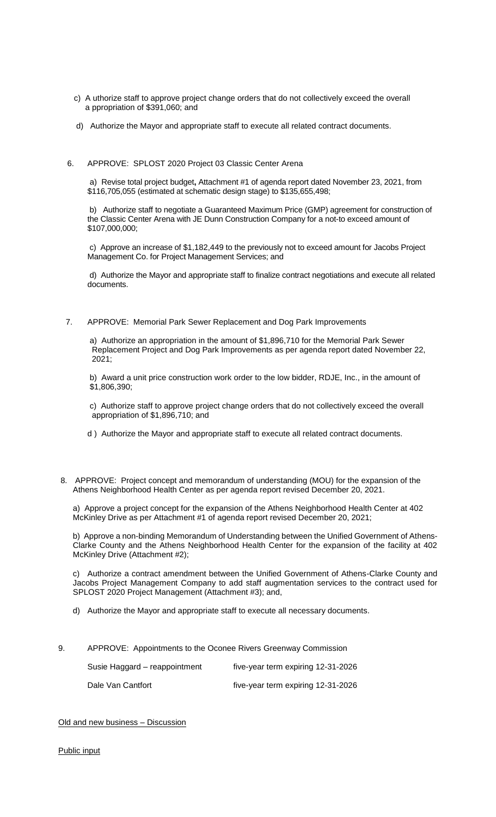- c) A uthorize staff to approve project change orders that do not collectively exceed the overall a ppropriation of \$391,060; and
- d) Authorize the Mayor and appropriate staff to execute all related contract documents.
- 6. APPROVE: SPLOST 2020 Project 03 Classic Center Arena

a) Revise total project budget**,** Attachment #1 of agenda report dated November 23, 2021, from \$116,705,055 (estimated at schematic design stage) to \$135,655,498;

b) Authorize staff to negotiate a Guaranteed Maximum Price (GMP) agreement for construction of the Classic Center Arena with JE Dunn Construction Company for a not-to exceed amount of \$107,000,000;

c) Approve an increase of \$1,182,449 to the previously not to exceed amount for Jacobs Project Management Co. for Project Management Services; and

d) Authorize the Mayor and appropriate staff to finalize contract negotiations and execute all related documents.

7. APPROVE: Memorial Park Sewer Replacement and Dog Park Improvements

a) Authorize an appropriation in the amount of \$1,896,710 for the Memorial Park Sewer Replacement Project and Dog Park Improvements as per agenda report dated November 22, 2021;

b) Award a unit price construction work order to the low bidder, RDJE, Inc., in the amount of \$1,806,390;

c) Authorize staff to approve project change orders that do not collectively exceed the overall appropriation of \$1,896,710; and

- d ) Authorize the Mayor and appropriate staff to execute all related contract documents.
- 8. APPROVE: Project concept and memorandum of understanding (MOU) for the expansion of the Athens Neighborhood Health Center as per agenda report revised December 20, 2021.

a) Approve a project concept for the expansion of the Athens Neighborhood Health Center at 402 McKinley Drive as per Attachment #1 of agenda report revised December 20, 2021;

b) Approve a non-binding Memorandum of Understanding between the Unified Government of Athens-Clarke County and the Athens Neighborhood Health Center for the expansion of the facility at 402 McKinley Drive (Attachment #2);

c) Authorize a contract amendment between the Unified Government of Athens-Clarke County and Jacobs Project Management Company to add staff augmentation services to the contract used for SPLOST 2020 Project Management (Attachment #3); and,

- d) Authorize the Mayor and appropriate staff to execute all necessary documents.
- 9. APPROVE: Appointments to the Oconee Rivers Greenway Commission

| Susie Haggard – reappointment | five-year term expiring 12-31-2026 |
|-------------------------------|------------------------------------|
| Dale Van Cantfort             | five-year term expiring 12-31-2026 |

Old and new business – Discussion

Public input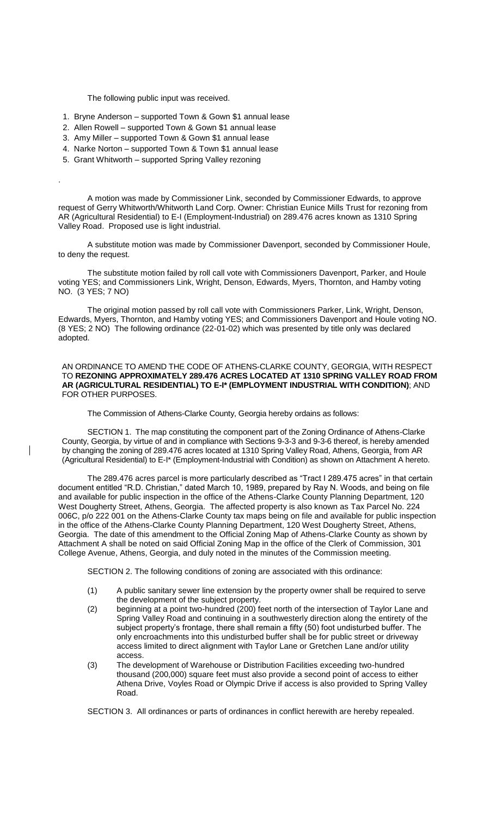The following public input was received.

- 1. Bryne Anderson supported Town & Gown \$1 annual lease
- 2. Allen Rowell supported Town & Gown \$1 annual lease
- 3. Amy Miller supported Town & Gown \$1 annual lease
- 4. Narke Norton supported Town & Town \$1 annual lease
- 5. Grant Whitworth supported Spring Valley rezoning

.

 $\overline{\phantom{a}}$ 

A motion was made by Commissioner Link, seconded by Commissioner Edwards, to approve request of Gerry Whitworth/Whitworth Land Corp. Owner: Christian Eunice Mills Trust for rezoning from AR (Agricultural Residential) to E-I (Employment-Industrial) on 289.476 acres known as 1310 Spring Valley Road. Proposed use is light industrial.

A substitute motion was made by Commissioner Davenport, seconded by Commissioner Houle, to deny the request.

The substitute motion failed by roll call vote with Commissioners Davenport, Parker, and Houle voting YES; and Commissioners Link, Wright, Denson, Edwards, Myers, Thornton, and Hamby voting NO. (3 YES; 7 NO)

The original motion passed by roll call vote with Commissioners Parker, Link, Wright, Denson, Edwards, Myers, Thornton, and Hamby voting YES; and Commissioners Davenport and Houle voting NO. (8 YES; 2 NO) The following ordinance (22-01-02) which was presented by title only was declared adopted.

AN ORDINANCE TO AMEND THE CODE OF ATHENS-CLARKE COUNTY, GEORGIA, WITH RESPECT TO **REZONING APPROXIMATELY 289.476 ACRES LOCATED AT 1310 SPRING VALLEY ROAD FROM AR (AGRICULTURAL RESIDENTIAL) TO E-I\* (EMPLOYMENT INDUSTRIAL WITH CONDITION)**; AND FOR OTHER PURPOSES.

The Commission of Athens-Clarke County, Georgia hereby ordains as follows:

SECTION 1. The map constituting the component part of the Zoning Ordinance of Athens-Clarke County, Georgia, by virtue of and in compliance with Sections 9-3-3 and 9-3-6 thereof, is hereby amended by changing the zoning of 289.476 acres located at 1310 Spring Valley Road, Athens, Georgia, from AR (Agricultural Residential) to E-I\* (Employment-Industrial with Condition) as shown on Attachment A hereto.

The 289.476 acres parcel is more particularly described as "Tract I 289.475 acres" in that certain document entitled "R.D. Christian," dated March 10, 1989, prepared by Ray N. Woods, and being on file and available for public inspection in the office of the Athens-Clarke County Planning Department, 120 West Dougherty Street, Athens, Georgia. The affected property is also known as Tax Parcel No. 224 006C, p/o 222 001 on the Athens-Clarke County tax maps being on file and available for public inspection in the office of the Athens-Clarke County Planning Department, 120 West Dougherty Street, Athens, Georgia. The date of this amendment to the Official Zoning Map of Athens-Clarke County as shown by Attachment A shall be noted on said Official Zoning Map in the office of the Clerk of Commission, 301 College Avenue, Athens, Georgia, and duly noted in the minutes of the Commission meeting.

SECTION 2. The following conditions of zoning are associated with this ordinance:

- (1) A public sanitary sewer line extension by the property owner shall be required to serve the development of the subject property.
- (2) beginning at a point two-hundred (200) feet north of the intersection of Taylor Lane and Spring Valley Road and continuing in a southwesterly direction along the entirety of the subject property's frontage, there shall remain a fifty (50) foot undisturbed buffer. The only encroachments into this undisturbed buffer shall be for public street or driveway access limited to direct alignment with Taylor Lane or Gretchen Lane and/or utility access.
- (3) The development of Warehouse or Distribution Facilities exceeding two-hundred thousand (200,000) square feet must also provide a second point of access to either Athena Drive, Voyles Road or Olympic Drive if access is also provided to Spring Valley Road.

SECTION 3. All ordinances or parts of ordinances in conflict herewith are hereby repealed.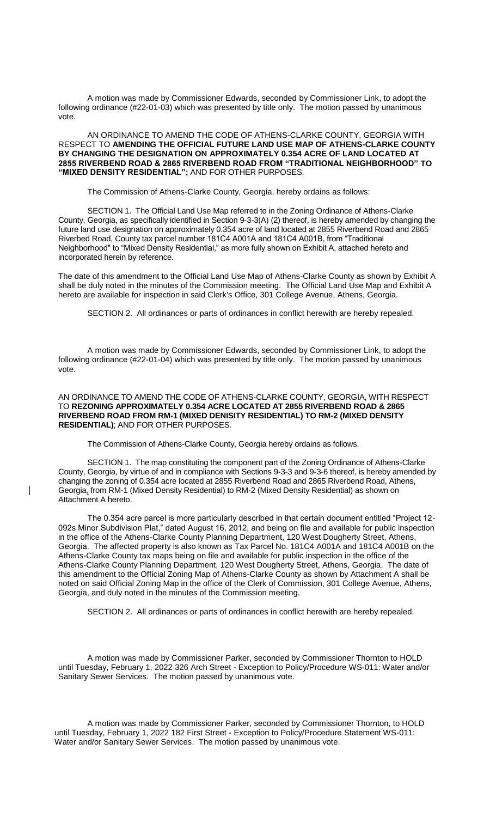A motion was made by Commissioner Edwards, seconded by Commissioner Link, to adopt the following ordinance (#22-01-03) which was presented by title only. The motion passed by unanimous vote.

AN ORDINANCE TO AMEND THE CODE OF ATHENS-CLARKE COUNTY, GEORGIA WITH RESPECT TO **AMENDING THE OFFICIAL FUTURE LAND USE MAP OF ATHENS-CLARKE COUNTY BY CHANGING THE DESIGNATION ON APPROXIMATELY 0.354 ACRE OF LAND LOCATED AT 2855 RIVERBEND ROAD & 2865 RIVERBEND ROAD FROM "TRADITIONAL NEIGHBORHOOD" TO "MIXED DENSITY RESIDENTIAL";** AND FOR OTHER PURPOSES.

The Commission of Athens-Clarke County, Georgia, hereby ordains as follows:

SECTION 1. The Official Land Use Map referred to in the Zoning Ordinance of Athens-Clarke County, Georgia, as specifically identified in Section 9-3-3(A) (2) thereof, is hereby amended by changing the future land use designation on approximately 0.354 acre of land located at 2855 Riverbend Road and 2865 Riverbed Road, County tax parcel number 181C4 A001A and 181C4 A001B, from "Traditional Neighborhood" to "Mixed Density Residential," as more fully shown on Exhibit A, attached hereto and incorporated herein by reference.

The date of this amendment to the Official Land Use Map of Athens-Clarke County as shown by Exhibit A shall be duly noted in the minutes of the Commission meeting. The Official Land Use Map and Exhibit A hereto are available for inspection in said Clerk's Office, 301 College Avenue, Athens, Georgia.

SECTION 2. All ordinances or parts of ordinances in conflict herewith are hereby repealed.

A motion was made by Commissioner Edwards, seconded by Commissioner Link, to adopt the following ordinance (#22-01-04) which was presented by title only. The motion passed by unanimous vote.

AN ORDINANCE TO AMEND THE CODE OF ATHENS-CLARKE COUNTY, GEORGIA, WITH RESPECT TO **REZONING APPROXIMATELY 0.354 ACRE LOCATED AT 2855 RIVERBEND ROAD & 2865 RIVERBEND ROAD FROM RM-1 (MIXED DENISITY RESIDENTIAL) TO RM-2 (MIXED DENSITY RESIDENTIAL)**; AND FOR OTHER PURPOSES.

The Commission of Athens-Clarke County, Georgia hereby ordains as follows.

SECTION 1. The map constituting the component part of the Zoning Ordinance of Athens-Clarke County, Georgia, by virtue of and in compliance with Sections 9-3-3 and 9-3-6 thereof, is hereby amended by changing the zoning of 0.354 acre located at 2855 Riverbend Road and 2865 Riverbend Road, Athens, Georgia, from RM-1 (Mixed Density Residential) to RM-2 (Mixed Density Residential) as shown on Attachment A hereto.

The 0.354 acre parcel is more particularly described in that certain document entitled "Project 12- 092s Minor Subdivision Plat," dated August 16, 2012, and being on file and available for public inspection in the office of the Athens-Clarke County Planning Department, 120 West Dougherty Street, Athens, Georgia. The affected property is also known as Tax Parcel No. 181C4 A001A and 181C4 A001B on the Athens-Clarke County tax maps being on file and available for public inspection in the office of the Athens-Clarke County Planning Department, 120 West Dougherty Street, Athens, Georgia. The date of this amendment to the Official Zoning Map of Athens-Clarke County as shown by Attachment A shall be noted on said Official Zoning Map in the office of the Clerk of Commission, 301 College Avenue, Athens, Georgia, and duly noted in the minutes of the Commission meeting.

SECTION 2. All ordinances or parts of ordinances in conflict herewith are hereby repealed.

A motion was made by Commissioner Parker, seconded by Commissioner Thornton to HOLD until Tuesday, February 1, 2022 326 Arch Street - Exception to Policy/Procedure WS-011: Water and/or Sanitary Sewer Services. The motion passed by unanimous vote.

A motion was made by Commissioner Parker, seconded by Commissioner Thornton, to HOLD until Tuesday, February 1, 2022 182 First Street - Exception to Policy/Procedure Statement WS-011: Water and/or Sanitary Sewer Services. The motion passed by unanimous vote.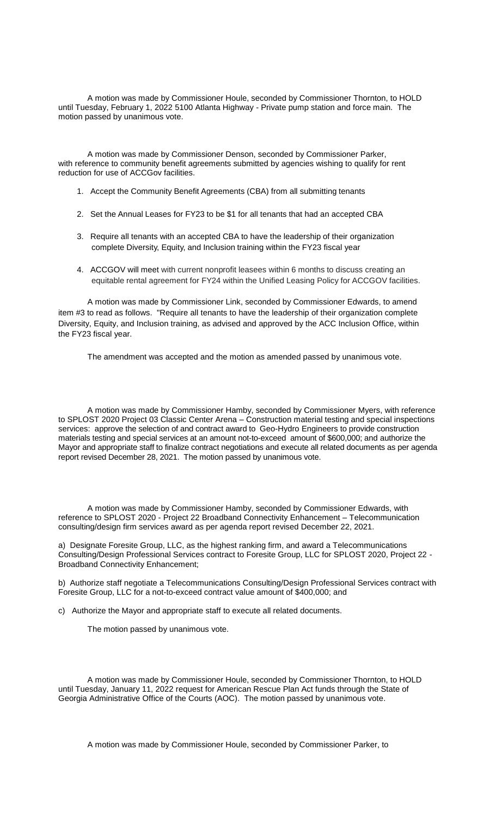A motion was made by Commissioner Houle, seconded by Commissioner Thornton, to HOLD until Tuesday, February 1, 2022 5100 Atlanta Highway - Private pump station and force main. The motion passed by unanimous vote.

A motion was made by Commissioner Denson, seconded by Commissioner Parker, with reference to community benefit agreements submitted by agencies wishing to qualify for rent reduction for use of ACCGov facilities.

- 1. Accept the Community Benefit Agreements (CBA) from all submitting tenants
- 2. Set the Annual Leases for FY23 to be \$1 for all tenants that had an accepted CBA
- 3. Require all tenants with an accepted CBA to have the leadership of their organization complete Diversity, Equity, and Inclusion training within the FY23 fiscal year
- 4. ACCGOV will meet with current nonprofit leasees within 6 months to discuss creating an equitable rental agreement for FY24 within the Unified Leasing Policy for ACCGOV facilities.

A motion was made by Commissioner Link, seconded by Commissioner Edwards, to amend item #3 to read as follows. "Require all tenants to have the leadership of their organization complete Diversity, Equity, and Inclusion training, as advised and approved by the ACC Inclusion Office, within the FY23 fiscal year.

The amendment was accepted and the motion as amended passed by unanimous vote.

A motion was made by Commissioner Hamby, seconded by Commissioner Myers, with reference to SPLOST 2020 Project 03 Classic Center Arena – Construction material testing and special inspections services: approve the selection of and contract award to Geo-Hydro Engineers to provide construction materials testing and special services at an amount not-to-exceed amount of \$600,000; and authorize the Mayor and appropriate staff to finalize contract negotiations and execute all related documents as per agenda report revised December 28, 2021. The motion passed by unanimous vote.

A motion was made by Commissioner Hamby, seconded by Commissioner Edwards, with reference to SPLOST 2020 - Project 22 Broadband Connectivity Enhancement – Telecommunication consulting/design firm services award as per agenda report revised December 22, 2021.

a) Designate Foresite Group, LLC, as the highest ranking firm, and award a Telecommunications Consulting/Design Professional Services contract to Foresite Group, LLC for SPLOST 2020, Project 22 - Broadband Connectivity Enhancement;

b) Authorize staff negotiate a Telecommunications Consulting/Design Professional Services contract with Foresite Group, LLC for a not-to-exceed contract value amount of \$400,000; and

c) Authorize the Mayor and appropriate staff to execute all related documents.

The motion passed by unanimous vote.

A motion was made by Commissioner Houle, seconded by Commissioner Thornton, to HOLD until Tuesday, January 11, 2022 request for American Rescue Plan Act funds through the State of Georgia Administrative Office of the Courts (AOC). The motion passed by unanimous vote.

A motion was made by Commissioner Houle, seconded by Commissioner Parker, to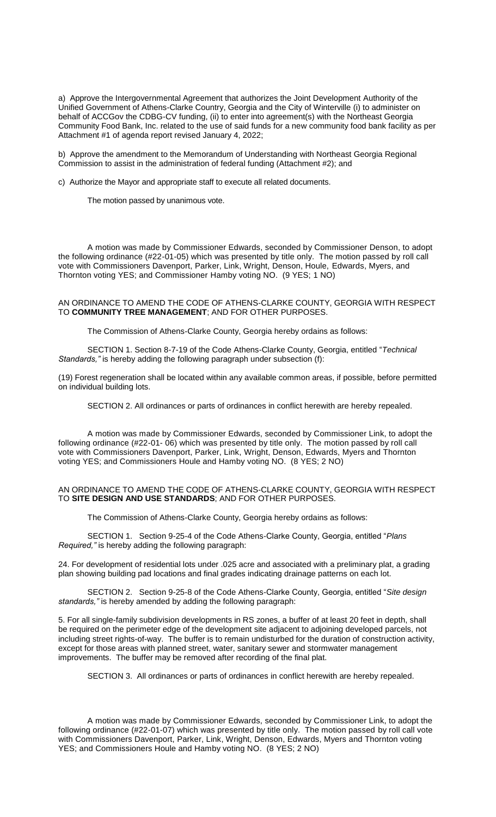a) Approve the Intergovernmental Agreement that authorizes the Joint Development Authority of the Unified Government of Athens-Clarke Country, Georgia and the City of Winterville (i) to administer on behalf of ACCGov the CDBG-CV funding, (ii) to enter into agreement(s) with the Northeast Georgia Community Food Bank, Inc. related to the use of said funds for a new community food bank facility as per Attachment #1 of agenda report revised January 4, 2022;

b) Approve the amendment to the Memorandum of Understanding with Northeast Georgia Regional Commission to assist in the administration of federal funding (Attachment #2); and

c) Authorize the Mayor and appropriate staff to execute all related documents.

The motion passed by unanimous vote.

A motion was made by Commissioner Edwards, seconded by Commissioner Denson, to adopt the following ordinance (#22-01-05) which was presented by title only. The motion passed by roll call vote with Commissioners Davenport, Parker, Link, Wright, Denson, Houle, Edwards, Myers, and Thornton voting YES; and Commissioner Hamby voting NO. (9 YES; 1 NO)

### AN ORDINANCE TO AMEND THE CODE OF ATHENS-CLARKE COUNTY, GEORGIA WITH RESPECT TO **COMMUNITY TREE MANAGEMENT**; AND FOR OTHER PURPOSES.

The Commission of Athens-Clarke County, Georgia hereby ordains as follows:

SECTION 1. Section 8-7-19 of the Code Athens-Clarke County, Georgia, entitled "*Technical Standards,"* is hereby adding the following paragraph under subsection (f):

(19) Forest regeneration shall be located within any available common areas, if possible, before permitted on individual building lots.

SECTION 2. All ordinances or parts of ordinances in conflict herewith are hereby repealed.

A motion was made by Commissioner Edwards, seconded by Commissioner Link, to adopt the following ordinance (#22-01- 06) which was presented by title only. The motion passed by roll call vote with Commissioners Davenport, Parker, Link, Wright, Denson, Edwards, Myers and Thornton voting YES; and Commissioners Houle and Hamby voting NO. (8 YES; 2 NO)

### AN ORDINANCE TO AMEND THE CODE OF ATHENS-CLARKE COUNTY, GEORGIA WITH RESPECT TO **SITE DESIGN AND USE STANDARDS**; AND FOR OTHER PURPOSES.

The Commission of Athens-Clarke County, Georgia hereby ordains as follows:

SECTION 1. Section 9-25-4 of the Code Athens-Clarke County, Georgia, entitled "*Plans Required,"* is hereby adding the following paragraph:

24. For development of residential lots under .025 acre and associated with a preliminary plat, a grading plan showing building pad locations and final grades indicating drainage patterns on each lot.

SECTION 2. Section 9-25-8 of the Code Athens-Clarke County, Georgia, entitled "*Site design standards,"* is hereby amended by adding the following paragraph:

5. For all single-family subdivision developments in RS zones, a buffer of at least 20 feet in depth, shall be required on the perimeter edge of the development site adjacent to adjoining developed parcels, not including street rights-of-way. The buffer is to remain undisturbed for the duration of construction activity, except for those areas with planned street, water, sanitary sewer and stormwater management improvements. The buffer may be removed after recording of the final plat.

SECTION 3. All ordinances or parts of ordinances in conflict herewith are hereby repealed.

A motion was made by Commissioner Edwards, seconded by Commissioner Link, to adopt the following ordinance (#22-01-07) which was presented by title only. The motion passed by roll call vote with Commissioners Davenport, Parker, Link, Wright, Denson, Edwards, Myers and Thornton voting YES; and Commissioners Houle and Hamby voting NO. (8 YES; 2 NO)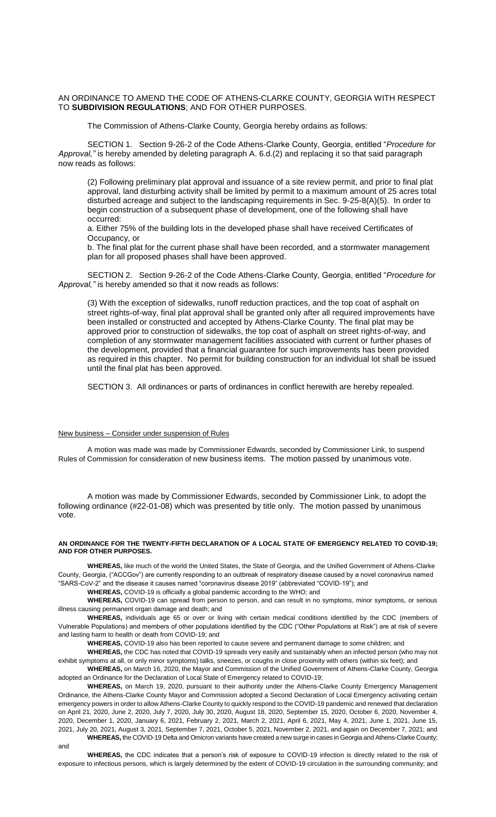### AN ORDINANCE TO AMEND THE CODE OF ATHENS-CLARKE COUNTY, GEORGIA WITH RESPECT TO **SUBDIVISION REGULATIONS**; AND FOR OTHER PURPOSES.

The Commission of Athens-Clarke County, Georgia hereby ordains as follows:

SECTION 1. Section 9-26-2 of the Code Athens-Clarke County, Georgia, entitled "*Procedure for Approval,"* is hereby amended by deleting paragraph A. 6.d.(2) and replacing it so that said paragraph now reads as follows:

(2) Following preliminary plat approval and issuance of a site review permit, and prior to final plat approval, land disturbing activity shall be limited by permit to a maximum amount of 25 acres total disturbed acreage and subject to the landscaping requirements in Sec. 9-25-8(A)(5). In order to begin construction of a subsequent phase of development, one of the following shall have occurred:

a. Either 75% of the building lots in the developed phase shall have received Certificates of Occupancy, or

b. The final plat for the current phase shall have been recorded, and a stormwater management plan for all proposed phases shall have been approved.

SECTION 2. Section 9-26-2 of the Code Athens-Clarke County, Georgia, entitled "*Procedure for Approval,"* is hereby amended so that it now reads as follows:

(3) With the exception of sidewalks, runoff reduction practices, and the top coat of asphalt on street rights-of-way, final plat approval shall be granted only after all required improvements have been installed or constructed and accepted by Athens-Clarke County. The final plat may be approved prior to construction of sidewalks, the top coat of asphalt on street rights-of-way, and completion of any stormwater management facilities associated with current or further phases of the development, provided that a financial guarantee for such improvements has been provided as required in this chapter. No permit for building construction for an individual lot shall be issued until the final plat has been approved.

SECTION 3. All ordinances or parts of ordinances in conflict herewith are hereby repealed.

### New business – Consider under suspension of Rules

A motion was made was made by Commissioner Edwards, seconded by Commissioner Link, to suspend Rules of Commission for consideration of new business items. The motion passed by unanimous vote.

A motion was made by Commissioner Edwards, seconded by Commissioner Link, to adopt the following ordinance (#22-01-08) which was presented by title only. The motion passed by unanimous vote.

#### **AN ORDINANCE FOR THE TWENTY-FIFTH DECLARATION OF A LOCAL STATE OF EMERGENCY RELATED TO COVID-19; AND FOR OTHER PURPOSES.**

**WHEREAS,** like much of the world the United States, the State of Georgia, and the Unified Government of Athens-Clarke County, Georgia, ("ACCGov") are currently responding to an outbreak of respiratory disease caused by a novel coronavirus named "SARS-CoV-2" and the disease it causes named "coronavirus disease 2019" (abbreviated "COVID-19"); and

**WHEREAS,** COVID-19 is officially a global pandemic according to the WHO; and

**WHEREAS,** COVID-19 can spread from person to person, and can result in no symptoms, minor symptoms, or serious illness causing permanent organ damage and death; and

**WHEREAS,** individuals age 65 or over or living with certain medical conditions identified by the CDC (members of Vulnerable Populations) and members of other populations identified by the CDC ("Other Populations at Risk") are at risk of severe and lasting harm to health or death from COVID-19; and

**WHEREAS,** COVID-19 also has been reported to cause severe and permanent damage to some children; and

**WHEREAS,** the CDC has noted that COVID-19 spreads very easily and sustainably when an infected person (who may not exhibit symptoms at all, or only minor symptoms) talks, sneezes, or coughs in close proximity with others (within six feet); and

**WHEREAS,** on March 16, 2020, the Mayor and Commission of the Unified Government of Athens-Clarke County, Georgia adopted an Ordinance for the Declaration of Local State of Emergency related to COVID-19;

**WHEREAS,** on March 19, 2020, pursuant to their authority under the Athens-Clarke County Emergency Management Ordinance, the Athens-Clarke County Mayor and Commission adopted a Second Declaration of Local Emergency activating certain emergency powers in order to allow Athens-Clarke County to quickly respond to the COVID-19 pandemic and renewed that declaration on April 21, 2020, June 2, 2020, July 7, 2020, July 30, 2020, August 18, 2020, September 15, 2020, October 6, 2020, November 4, 2020, December 1, 2020, January 6, 2021, February 2, 2021, March 2, 2021, April 6, 2021, May 4, 2021, June 1, 2021, June 15, 2021, July 20, 2021, August 3, 2021, September 7, 2021, October 5, 2021, November 2, 2021, and again on December 7, 2021; and **WHEREAS,** the COVID-19 Delta and Omicron variants have created a new surge in cases in Georgia and Athens-Clarke County;

and

**WHEREAS,** the CDC indicates that a person's risk of exposure to COVID-19 infection is directly related to the risk of exposure to infectious persons, which is largely determined by the extent of COVID-19 circulation in the surrounding community; and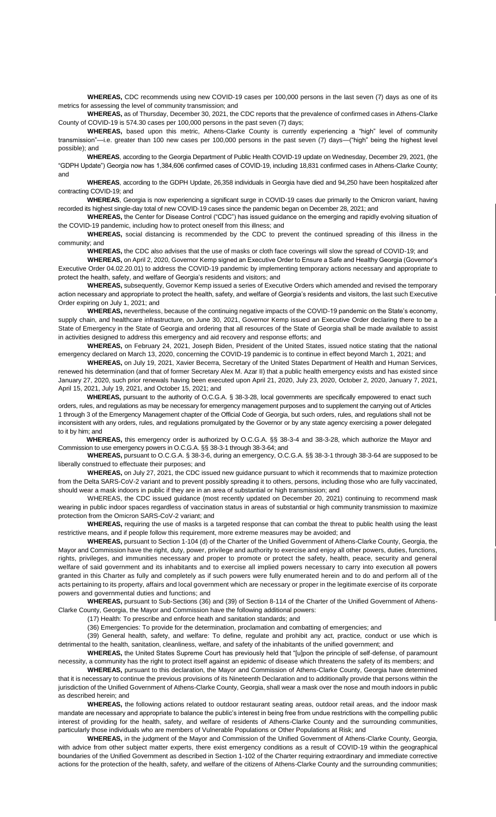**WHEREAS,** CDC recommends using new COVID-19 cases per 100,000 persons in the last seven (7) days as one of its metrics for assessing the level of community transmission; and

**WHEREAS,** as of Thursday, December 30, 2021, the CDC reports that the prevalence of confirmed cases in Athens-Clarke County of COVID-19 is 574.30 cases per 100,000 persons in the past seven (7) days;

**WHEREAS,** based upon this metric, Athens-Clarke County is currently experiencing a "high" level of community transmission"—i.e. greater than 100 new cases per 100,000 persons in the past seven (7) days—("high" being the highest level possible); and

**WHEREAS**, according to the Georgia Department of Public Health COVID-19 update on Wednesday, December 29, 2021, (the "GDPH Update") Georgia now has 1,384,606 confirmed cases of COVID-19, including 18,831 confirmed cases in Athens-Clarke County; and

**WHEREAS**, according to the GDPH Update, 26,358 individuals in Georgia have died and 94,250 have been hospitalized after contracting COVID-19; and

**WHEREAS**, Georgia is now experiencing a significant surge in COVID-19 cases due primarily to the Omicron variant, having recorded its highest single-day total of new COVID-19 cases since the pandemic began on December 28, 2021; and

**WHEREAS,** the Center for Disease Control ("CDC") has issued guidance on the emerging and rapidly evolving situation of the COVID-19 pandemic, including how to protect oneself from this illness; and

**WHEREAS,** social distancing is recommended by the CDC to prevent the continued spreading of this illness in the community; and

**WHEREAS,** the CDC also advises that the use of masks or cloth face coverings will slow the spread of COVID-19; and

**WHEREAS,** on April 2, 2020, Governor Kemp signed an Executive Order to Ensure a Safe and Healthy Georgia (Governor's Executive Order 04.02.20.01) to address the COVID-19 pandemic by implementing temporary actions necessary and appropriate to protect the health, safety, and welfare of Georgia's residents and visitors; and

**WHEREAS,** subsequently, Governor Kemp issued a series of Executive Orders which amended and revised the temporary action necessary and appropriate to protect the health, safety, and welfare of Georgia's residents and visitors, the last such Executive Order expiring on July 1, 2021; and

**WHEREAS,** nevertheless, because of the continuing negative impacts of the COVID-19 pandemic on the State's economy, supply chain, and healthcare infrastructure, on June 30, 2021, Governor Kemp issued an Executive Order declaring there to be a State of Emergency in the State of Georgia and ordering that all resources of the State of Georgia shall be made available to assist in activities designed to address this emergency and aid recovery and response efforts; and

**WHEREAS,** on February 24, 2021, Joseph Biden, President of the United States, issued notice stating that the national emergency declared on March 13, 2020, concerning the COVID-19 pandemic is to continue in effect beyond March 1, 2021; and

**WHEREAS,** on July 19, 2021, Xavier Becerra, Secretary of the United States Department of Health and Human Services, renewed his determination (and that of former Secretary Alex M. Azar II) that a public health emergency exists and has existed since January 27, 2020, such prior renewals having been executed upon April 21, 2020, July 23, 2020, October 2, 2020, January 7, 2021, April 15, 2021, July 19, 2021, and October 15, 2021; and

**WHEREAS,** pursuant to the authority of O.C.G.A. § 38-3-28, local governments are specifically empowered to enact such orders, rules, and regulations as may be necessary for emergency management purposes and to supplement the carrying out of Articles 1 through 3 of the Emergency Management chapter of the Official Code of Georgia, but such orders, rules, and regulations shall not be inconsistent with any orders, rules, and regulations promulgated by the Governor or by any state agency exercising a power delegated to it by him; and

**WHEREAS,** this emergency order is authorized by O.C.G.A. §§ 38-3-4 and 38-3-28, which authorize the Mayor and Commission to use emergency powers in O.C.G.A. §§ 38-3-1 through 38-3-64; and

**WHEREAS,** pursuant to O.C.G.A. § 38-3-6, during an emergency, O.C.G.A. §§ 38-3-1 through 38-3-64 are supposed to be liberally construed to effectuate their purposes; and

**WHEREAS,** on July 27, 2021, the CDC issued new guidance pursuant to which it recommends that to maximize protection from the Delta SARS-CoV-2 variant and to prevent possibly spreading it to others, persons, including those who are fully vaccinated, should wear a mask indoors in public if they are in an area of substantial or high transmission; and

WHEREAS, the CDC issued guidance (most recently updated on December 20, 2021) continuing to recommend mask wearing in public indoor spaces regardless of vaccination status in areas of substantial or high community transmission to maximize protection from the Omicron SARS-CoV-2 variant; and

**WHEREAS,** requiring the use of masks is a targeted response that can combat the threat to public health using the least restrictive means, and if people follow this requirement, more extreme measures may be avoided; and

**WHEREAS,** pursuant to Section 1-104 (d) of the Charter of the Unified Government of Athens-Clarke County, Georgia, the Mayor and Commission have the right, duty, power, privilege and authority to exercise and enjoy all other powers, duties, functions, rights, privileges, and immunities necessary and proper to promote or protect the safety, health, peace, security and general welfare of said government and its inhabitants and to exercise all implied powers necessary to carry into execution all powers granted in this Charter as fully and completely as if such powers were fully enumerated herein and to do and perform all of the acts pertaining to its property, affairs and local government which are necessary or proper in the legitimate exercise of its corporate powers and governmental duties and functions; and

**WHEREAS,** pursuant to Sub-Sections (36) and (39) of Section 8-114 of the Charter of the Unified Government of Athens-Clarke County, Georgia, the Mayor and Commission have the following additional powers:

(17) Health: To prescribe and enforce heath and sanitation standards; and

(36) Emergencies: To provide for the determination, proclamation and combatting of emergencies; and

(39) General health, safety, and welfare: To define, regulate and prohibit any act, practice, conduct or use which is detrimental to the health, sanitation, cleanliness, welfare, and safety of the inhabitants of the unified government; and

**WHEREAS,** the United States Supreme Court has previously held that "[u]pon the principle of self-defense, of paramount necessity, a community has the right to protect itself against an epidemic of disease which threatens the safety of its members; and

**WHEREAS,** pursuant to this declaration, the Mayor and Commission of Athens-Clarke County, Georgia have determined that it is necessary to continue the previous provisions of its Nineteenth Declaration and to additionally provide that persons within the jurisdiction of the Unified Government of Athens-Clarke County, Georgia, shall wear a mask over the nose and mouth indoors in public as described herein; and

**WHEREAS,** the following actions related to outdoor restaurant seating areas, outdoor retail areas, and the indoor mask mandate are necessary and appropriate to balance the public's interest in being free from undue restrictions with the compelling public interest of providing for the health, safety, and welfare of residents of Athens-Clarke County and the surrounding communities, particularly those individuals who are members of Vulnerable Populations or Other Populations at Risk; and

**WHEREAS,** in the judgment of the Mayor and Commission of the Unified Government of Athens-Clarke County, Georgia, with advice from other subject matter experts, there exist emergency conditions as a result of COVID-19 within the geographical boundaries of the Unified Government as described in Section 1-102 of the Charter requiring extraordinary and immediate corrective actions for the protection of the health, safety, and welfare of the citizens of Athens-Clarke County and the surrounding communities;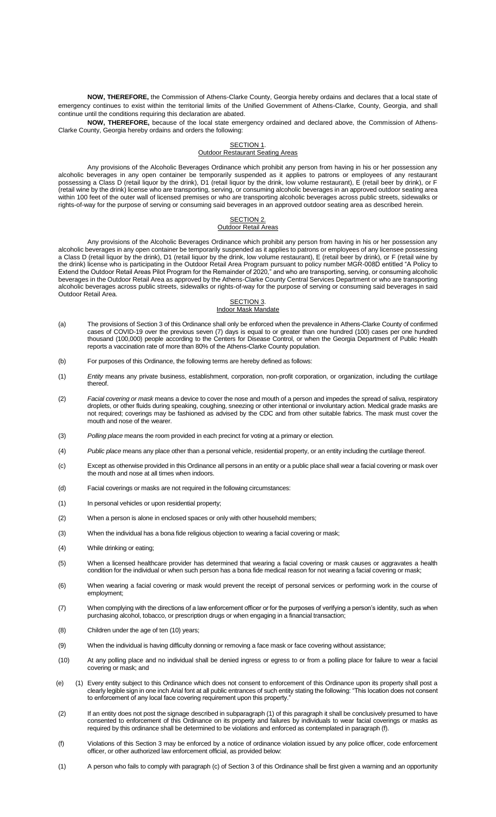**NOW, THEREFORE,** the Commission of Athens-Clarke County, Georgia hereby ordains and declares that a local state of emergency continues to exist within the territorial limits of the Unified Government of Athens-Clarke, County, Georgia, and shall continue until the conditions requiring this declaration are abated.

**NOW, THEREFORE,** because of the local state emergency ordained and declared above, the Commission of Athens-Clarke County, Georgia hereby ordains and orders the following:

#### SECTION 1. **Outdoor Restaurant Seating Areas**

Any provisions of the Alcoholic Beverages Ordinance which prohibit any person from having in his or her possession any alcoholic beverages in any open container be temporarily suspended as it applies to patrons or employees of any restaurant possessing a Class D (retail liquor by the drink), D1 (retail liquor by the drink, low volume restaurant), E (retail beer by drink), or F (retail wine by the drink) license who are transporting, serving, or consuming alcoholic beverages in an approved outdoor seating area within 100 feet of the outer wall of licensed premises or who are transporting alcoholic beverages across public streets, sidewalks or rights-of-way for the purpose of serving or consuming said beverages in an approved outdoor seating area as described herein.

#### SECTION 2. Outdoor Retail Areas

Any provisions of the Alcoholic Beverages Ordinance which prohibit any person from having in his or her possession any alcoholic beverages in any open container be temporarily suspended as it applies to patrons or employees of any licensee possessing a Class D (retail liquor by the drink), D1 (retail liquor by the drink, low volume restaurant), E (retail beer by drink), or F (retail wine by the drink) license who is participating in the Outdoor Retail Area Program pursuant to policy number MGR-008D entitled "A Policy to Extend the Outdoor Retail Areas Pilot Program for the Remainder of 2020," and who are transporting, serving, or consuming alcoholic beverages in the Outdoor Retail Area as approved by the Athens-Clarke County Central Services Department or who are transporting alcoholic beverages across public streets, sidewalks or rights-of-way for the purpose of serving or consuming said beverages in said Outdoor Retail Area.

#### SECTION 3.

#### Indoor Mask Mandate

- (a) The provisions of Section 3 of this Ordinance shall only be enforced when the prevalence in Athens-Clarke County of confirmed cases of COVID-19 over the previous seven (7) days is equal to or greater than one hundred (100) cases per one hundred thousand (100,000) people according to the Centers for Disease Control, or when the Georgia Department of Public Health reports a vaccination rate of more than 80% of the Athens-Clarke County population.
- (b) For purposes of this Ordinance, the following terms are hereby defined as follows:
- (1) *Entity* means any private business, establishment, corporation, non-profit corporation, or organization, including the curtilage thereof.
- (2) *Facial covering or mask* means a device to cover the nose and mouth of a person and impedes the spread of saliva, respiratory droplets, or other fluids during speaking, coughing, sneezing or other intentional or involuntary action. Medical grade masks are not required; coverings may be fashioned as advised by the CDC and from other suitable fabrics. The mask must cover the mouth and nose of the wearer.
- (3) *Polling place* means the room provided in each precinct for voting at a primary or election.
- (4) *Public place* means any place other than a personal vehicle, residential property, or an entity including the curtilage thereof.
- (c) Except as otherwise provided in this Ordinance all persons in an entity or a public place shall wear a facial covering or mask over the mouth and nose at all times when indoors.
- (d) Facial coverings or masks are not required in the following circumstances:
- (1) In personal vehicles or upon residential property;
- (2) When a person is alone in enclosed spaces or only with other household members;
- (3) When the individual has a bona fide religious objection to wearing a facial covering or mask;
- (4) While drinking or eating;
- (5) When a licensed healthcare provider has determined that wearing a facial covering or mask causes or aggravates a health condition for the individual or when such person has a bona fide medical reason for not wearing a facial covering or mask;
- (6) When wearing a facial covering or mask would prevent the receipt of personal services or performing work in the course of employment;
- (7) When complying with the directions of a law enforcement officer or for the purposes of verifying a person's identity, such as when purchasing alcohol, tobacco, or prescription drugs or when engaging in a financial transaction;
- (8) Children under the age of ten (10) years;
- (9) When the individual is having difficulty donning or removing a face mask or face covering without assistance;
- (10) At any polling place and no individual shall be denied ingress or egress to or from a polling place for failure to wear a facial covering or mask; and
- (e) (1) Every entity subject to this Ordinance which does not consent to enforcement of this Ordinance upon its property shall post a clearly legible sign in one inch Arial font at all public entrances of such entity stating the following: "This location does not consent to enforcement of any local face covering requirement upon this property.
- (2) If an entity does not post the signage described in subparagraph (1) of this paragraph it shall be conclusively presumed to have consented to enforcement of this Ordinance on its property and failures by individuals to wear facial coverings or masks as required by this ordinance shall be determined to be violations and enforced as contemplated in paragraph (f).
- (f) Violations of this Section 3 may be enforced by a notice of ordinance violation issued by any police officer, code enforcement officer, or other authorized law enforcement official, as provided below:
- (1) A person who fails to comply with paragraph (c) of Section 3 of this Ordinance shall be first given a warning and an opportunity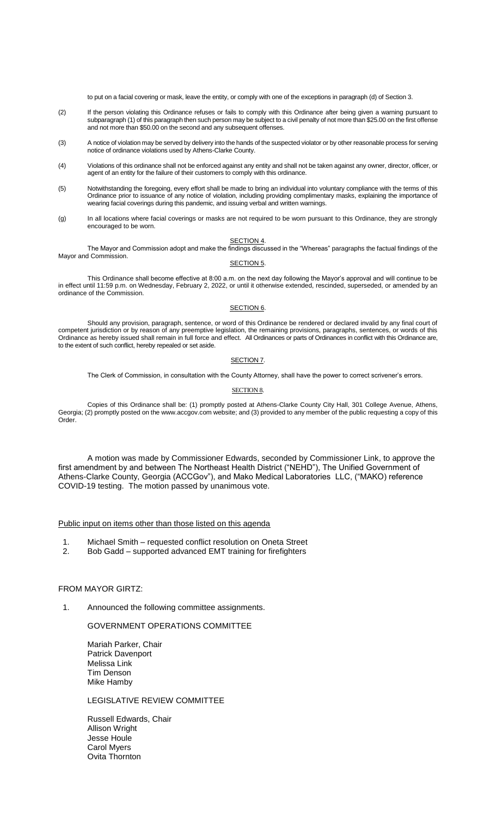to put on a facial covering or mask, leave the entity, or comply with one of the exceptions in paragraph (d) of Section 3.

- (2) If the person violating this Ordinance refuses or fails to comply with this Ordinance after being given a warning pursuant to subparagraph (1) of this paragraph then such person may be subject to a civil penalty of not more than \$25.00 on the first offense and not more than \$50.00 on the second and any subsequent offenses.
- (3) A notice of violation may be served by delivery into the hands of the suspected violator or by other reasonable process for serving notice of ordinance violations used by Athens-Clarke County.
- (4) Violations of this ordinance shall not be enforced against any entity and shall not be taken against any owner, director, officer, or agent of an entity for the failure of their customers to comply with this ordinance.
- (5) Notwithstanding the foregoing, every effort shall be made to bring an individual into voluntary compliance with the terms of this Ordinance prior to issuance of any notice of violation, including providing complimentary masks, explaining the importance of wearing facial coverings during this pandemic, and issuing verbal and written warnings.
- (g) In all locations where facial coverings or masks are not required to be worn pursuant to this Ordinance, they are strongly encouraged to be worn.

#### SECTION 4. The Mayor and Commission adopt and make the findings discussed in the "Whereas" paragraphs the factual findings of the Mayor and Commission.

#### SECTION<sub>5</sub>.

This Ordinance shall become effective at 8:00 a.m. on the next day following the Mayor's approval and will continue to be in effect until 11:59 p.m. on Wednesday, February 2, 2022, or until it otherwise extended, rescinded, superseded, or amended by an ordinance of the Commission.

#### SECTION 6.

Should any provision, paragraph, sentence, or word of this Ordinance be rendered or declared invalid by any final court of competent jurisdiction or by reason of any preemptive legislation, the remaining provisions, paragraphs, sentences, or words of this Ordinance as hereby issued shall remain in full force and effect. All Ordinances or parts of Ordinances in conflict with this Ordinance are, to the extent of such conflict, hereby repealed or set aside.

### SECTION<sub>7</sub>.

The Clerk of Commission, in consultation with the County Attorney, shall have the power to correct scrivener's errors.

#### SECTION 8.

Copies of this Ordinance shall be: (1) promptly posted at Athens-Clarke County City Hall, 301 College Avenue, Athens, Georgia; (2) promptly posted on the www.accgov.com website; and (3) provided to any member of the public requesting a copy of this Order.

A motion was made by Commissioner Edwards, seconded by Commissioner Link, to approve the first amendment by and between The Northeast Health District ("NEHD"), The Unified Government of Athens-Clarke County, Georgia (ACCGov"), and Mako Medical Laboratories LLC, ("MAKO) reference COVID-19 testing. The motion passed by unanimous vote.

## Public input on items other than those listed on this agenda

- 1. Michael Smith requested conflict resolution on Oneta Street
- 2. Bob Gadd supported advanced EMT training for firefighters

### FROM MAYOR GIRTZ:

1. Announced the following committee assignments.

### GOVERNMENT OPERATIONS COMMITTEE

Mariah Parker, Chair Patrick Davenport Melissa Link Tim Denson Mike Hamby

## LEGISLATIVE REVIEW COMMITTEE

Russell Edwards, Chair Allison Wright Jesse Houle Carol Myers Ovita Thornton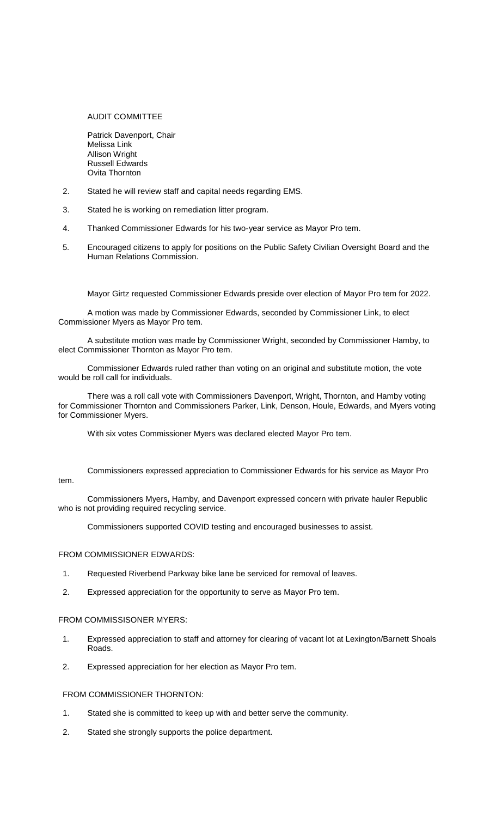## AUDIT COMMITTEE

Patrick Davenport, Chair Melissa Link Allison Wright Russell Edwards Ovita Thornton

- 2. Stated he will review staff and capital needs regarding EMS.
- 3. Stated he is working on remediation litter program.
- 4. Thanked Commissioner Edwards for his two-year service as Mayor Pro tem.
- 5. Encouraged citizens to apply for positions on the Public Safety Civilian Oversight Board and the Human Relations Commission.

Mayor Girtz requested Commissioner Edwards preside over election of Mayor Pro tem for 2022.

A motion was made by Commissioner Edwards, seconded by Commissioner Link, to elect Commissioner Myers as Mayor Pro tem.

A substitute motion was made by Commissioner Wright, seconded by Commissioner Hamby, to elect Commissioner Thornton as Mayor Pro tem.

Commissioner Edwards ruled rather than voting on an original and substitute motion, the vote would be roll call for individuals.

There was a roll call vote with Commissioners Davenport, Wright, Thornton, and Hamby voting for Commissioner Thornton and Commissioners Parker, Link, Denson, Houle, Edwards, and Myers voting for Commissioner Myers.

With six votes Commissioner Myers was declared elected Mayor Pro tem.

Commissioners expressed appreciation to Commissioner Edwards for his service as Mayor Pro tem.

Commissioners Myers, Hamby, and Davenport expressed concern with private hauler Republic who is not providing required recycling service.

Commissioners supported COVID testing and encouraged businesses to assist.

# FROM COMMISSIONER EDWARDS:

- 1. Requested Riverbend Parkway bike lane be serviced for removal of leaves.
- 2. Expressed appreciation for the opportunity to serve as Mayor Pro tem.

## FROM COMMISSISONER MYERS:

- 1. Expressed appreciation to staff and attorney for clearing of vacant lot at Lexington/Barnett Shoals Roads.
- 2. Expressed appreciation for her election as Mayor Pro tem.

### FROM COMMISSIONER THORNTON:

- 1. Stated she is committed to keep up with and better serve the community.
- 2. Stated she strongly supports the police department.